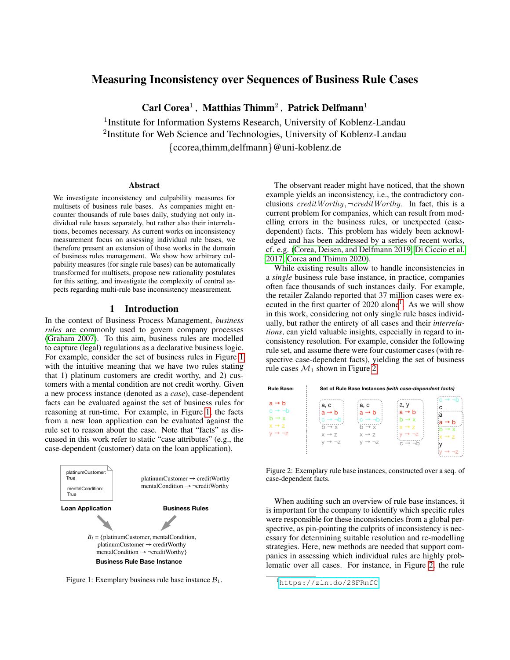# Measuring Inconsistency over Sequences of Business Rule Cases

 $\bf{Card}$  Corea<sup>1</sup>, Matthias Thimm<sup>2</sup>, Patrick Delfmann<sup>1</sup>

<sup>1</sup> Institute for Information Systems Research, University of Koblenz-Landau <sup>2</sup>Institute for Web Science and Technologies, University of Koblenz-Landau {ccorea,thimm,delfmann}@uni-koblenz.de

#### Abstract

We investigate inconsistency and culpability measures for multisets of business rule bases. As companies might encounter thousands of rule bases daily, studying not only individual rule bases separately, but rather also their interrelations, becomes necessary. As current works on inconsistency measurement focus on assessing individual rule bases, we therefore present an extension of those works in the domain of business rules management. We show how arbitrary culpability measures (for single rule bases) can be automatically transformed for multisets, propose new rationality postulates for this setting, and investigate the complexity of central aspects regarding multi-rule base inconsistency measurement.

### 1 Introduction

In the context of Business Process Management, *business rules* are commonly used to govern company processes [\(Graham 2007\)](#page-4-0). To this aim, business rules are modelled to capture (legal) regulations as a declarative business logic. For example, consider the set of business rules in Figure [1](#page-0-0) with the intuitive meaning that we have two rules stating that 1) platinum customers are credit worthy, and 2) customers with a mental condition are not credit worthy. Given a new process instance (denoted as a *case*), case-dependent facts can be evaluated against the set of business rules for reasoning at run-time. For example, in Figure [1,](#page-0-0) the facts from a new loan application can be evaluated against the rule set to reason about the case. Note that "facts" as discussed in this work refer to static "case attributes" (e.g., the case-dependent (customer) data on the loan application).

<span id="page-0-0"></span>

Figure 1: Exemplary business rule base instance  $B_1$ .

The observant reader might have noticed, that the shown example yields an inconsistency, i.e., the contradictory conclusions  $\text{creditWorking}, \neg \text{creditWorking}.$  In fact, this is a current problem for companies, which can result from modelling errors in the business rules, or unexpected (casedependent) facts. This problem has widely been acknowledged and has been addressed by a series of recent works, cf. e.g. [\(Corea, Deisen, and Delfmann 2019;](#page-4-1) [Di Ciccio et al.](#page-4-2) [2017;](#page-4-2) [Corea and Thimm 2020\)](#page-4-3).

While existing results allow to handle inconsistencies in a *single* business rule base instance, in practice, companies often face thousands of such instances daily. For example, the retailer Zalando reported that 37 million cases were executed in the first quarter of  $2020$  alone<sup>[1](#page-0-1)</sup>. As we will show in this work, considering not only single rule bases individually, but rather the entirety of all cases and their *interrelations*, can yield valuable insights, especially in regard to inconsistency resolution. For example, consider the following rule set, and assume there were four customer cases (with respective case-dependent facts), yielding the set of business rule cases  $\mathcal{M}_1$  shown in Figure [2.](#page-0-2)

<span id="page-0-2"></span>

| <b>Rule Base:</b>                                                                                               | Set of Rule Base Instances (with case-dependent facts)                                                                    |                                                                                                         |                                                                                                                         |                                                                                 |  |  |  |
|-----------------------------------------------------------------------------------------------------------------|---------------------------------------------------------------------------------------------------------------------------|---------------------------------------------------------------------------------------------------------|-------------------------------------------------------------------------------------------------------------------------|---------------------------------------------------------------------------------|--|--|--|
| $a \rightarrow b$<br>$c \rightarrow \neg b$<br>$b \rightarrow x$<br>$x \rightarrow z$<br>$V \rightarrow \neg Z$ | a, c<br>$a \rightarrow b$<br>$: c \rightarrow \neg b$<br>$h \rightarrow x$<br>$x \rightarrow 7$<br>$V \rightarrow \neg Z$ | a, c<br>$a \rightarrow b$<br>$c \rightarrow \neg b$<br>$h \rightarrow x$<br>$x \rightarrow z$<br>v → ¬z | a, y<br>$a \rightarrow b$<br>$b \rightarrow x$<br>$x \rightarrow z$<br>$V \rightarrow \neg Z$<br>$c \rightarrow \neg b$ | $c \rightarrow \neg h$<br>C<br>а<br>→ h<br>$\rightarrow x$<br>$x \rightarrow z$ |  |  |  |

Figure 2: Exemplary rule base instances, constructed over a seq. of case-dependent facts.

When auditing such an overview of rule base instances, it is important for the company to identify which specific rules were responsible for these inconsistencies from a global perspective, as pin-pointing the culprits of inconsistency is necessary for determining suitable resolution and re-modelling strategies. Here, new methods are needed that support companies in assessing which individual rules are highly problematic over all cases. For instance, in Figure [2,](#page-0-2) the rule

<span id="page-0-1"></span><sup>1</sup><https://zln.do/2SFRnfC>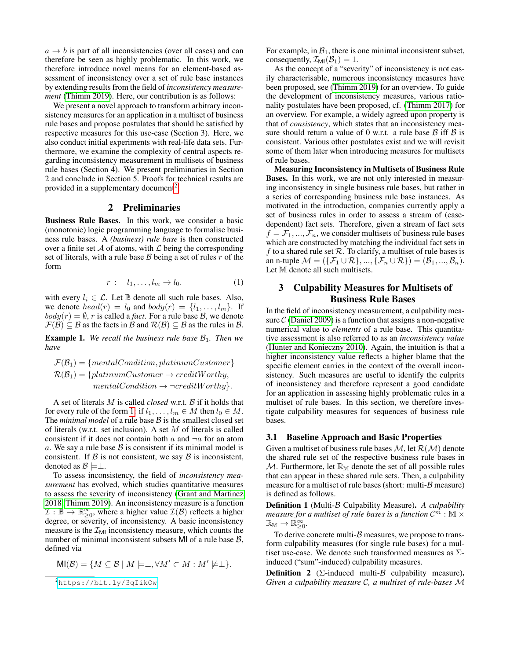$a \rightarrow b$  is part of all inconsistencies (over all cases) and can therefore be seen as highly problematic. In this work, we therefore introduce novel means for an element-based assessment of inconsistency over a set of rule base instances by extending results from the field of *inconsistency measurement* [\(Thimm 2019\)](#page-4-4). Here, our contribution is as follows:

We present a novel approach to transform arbitrary inconsistency measures for an application in a multiset of business rule bases and propose postulates that should be satisfied by respective measures for this use-case (Section 3). Here, we also conduct initial experiments with real-life data sets. Furthermore, we examine the complexity of central aspects regarding inconsistency measurement in multisets of business rule bases (Section 4). We present preliminaries in Section 2 and conclude in Section 5. Proofs for technical results are provided in a supplementary document<sup>[2](#page-1-0)</sup>.

### 2 Preliminaries

Business Rule Bases. In this work, we consider a basic (monotonic) logic programming language to formalise business rule bases. A *(business) rule base* is then constructed over a finite set  $A$  of atoms, with  $L$  being the corresponding set of literals, with a rule base  $\beta$  being a set of rules  $r$  of the form

$$
r: l_1, \ldots, l_m \to l_0. \tag{1}
$$

with every  $l_i \in \mathcal{L}$ . Let  $\mathbb B$  denote all such rule bases. Also, we denote  $head(r) = l_0$  and  $body(r) = \{l_1, \ldots, l_m\}$ . If  $body(r) = \emptyset$ , r is called a *fact*. For a rule base B, we denote  $\mathcal{F}(\mathcal{B}) \subseteq \mathcal{B}$  as the facts in  $\mathcal{B}$  and  $\mathcal{R}(\mathcal{B}) \subseteq \mathcal{B}$  as the rules in  $\mathcal{B}$ .

**Example 1.** We recall the business rule base  $\mathcal{B}_1$ . Then we *have*

$$
\mathcal{F}(\mathcal{B}_1) = \{mentalCondition, platinumCustomer\} \n\mathcal{R}(\mathcal{B}_1) = \{platinumCustomer \rightarrow creditWorking, mentalCondition \rightarrow \neg creditWorking\}.
$$

A set of literals M is called *closed* w.r.t. B if it holds that for every rule of the form [1:](#page-1-1) if  $l_1, \ldots, l_m \in M$  then  $l_0 \in M$ . The *minimal model* of a rule base  $\beta$  is the smallest closed set of literals (w.r.t. set inclusion). A set  $M$  of literals is called consistent if it does not contain both  $a$  and  $\neg a$  for an atom a. We say a rule base  $\beta$  is consistent if its minimal model is consistent. If  $\beta$  is not consistent, we say  $\beta$  is inconsistent, denoted as  $\mathcal{B} \models \perp$ .

To assess inconsistency, the field of *inconsistency measurement* has evolved, which studies quantitative measures to assess the severity of inconsistency [\(Grant and Martinez](#page-4-5) [2018;](#page-4-5) [Thimm 2019\)](#page-4-4). An inconsistency measure is a function  $\mathcal{I}: \mathbb{B} \to \mathbb{R}^{\infty}_{\geq 0}$ , where a higher value  $\mathcal{I}(\mathcal{B})$  reflects a higher degree, or severity, of inconsistency. A basic inconsistency measure is the  $\mathcal{I}_{\text{MI}}$  inconsistency measure, which counts the number of minimal inconsistent subsets MI of a rule base  $\beta$ , defined via

$$
\mathsf{MI}(\mathcal{B}) = \{ M \subseteq \mathcal{B} \mid M \models \perp, \forall M' \subset M : M' \not\models \perp \}.
$$

For example, in  $B_1$ , there is one minimal inconsistent subset, consequently,  $\mathcal{I}_{MI}(\mathcal{B}_1) = 1$ .

As the concept of a "severity" of inconsistency is not easily characterisable, numerous inconsistency measures have been proposed, see [\(Thimm 2019\)](#page-4-4) for an overview. To guide the development of inconsistency measures, various rationality postulates have been proposed, cf. [\(Thimm 2017\)](#page-4-6) for an overview. For example, a widely agreed upon property is that of *consistency*, which states that an inconsistency measure should return a value of 0 w.r.t. a rule base  $\beta$  iff  $\beta$  is consistent. Various other postulates exist and we will revisit some of them later when introducing measures for multisets of rule bases.

Measuring Inconsistency in Multisets of Business Rule Bases. In this work, we are not only interested in measuring inconsistency in single business rule bases, but rather in a series of corresponding business rule base instances. As motivated in the introduction, companies currently apply a set of business rules in order to assess a stream of (casedependent) fact sets. Therefore, given a stream of fact sets  $f = \mathcal{F}_1, ..., \mathcal{F}_n$ , we consider multisets of business rule bases which are constructed by matching the individual fact sets in f to a shared rule set  $R$ . To clarify, a multiset of rule bases is an n-tuple  $\mathcal{M} = (\{\mathcal{F}_1 \cup \mathcal{R}\}, ..., \{\mathcal{F}_n \cup \mathcal{R}\}) = (\mathcal{B}_1, ..., \mathcal{B}_n).$ Let M denote all such multisets.

## <span id="page-1-1"></span>3 Culpability Measures for Multisets of Business Rule Bases

In the field of inconsistency measurement, a culpability measure  $\mathcal C$  [\(Daniel 2009\)](#page-4-7) is a function that assigns a non-negative numerical value to *elements* of a rule base. This quantitative assessment is also referred to as an *inconsistency value* [\(Hunter and Konieczny 2010\)](#page-4-8). Again, the intuition is that a higher inconsistency value reflects a higher blame that the specific element carries in the context of the overall inconsistency. Such measures are useful to identify the culprits of inconsistency and therefore represent a good candidate for an application in assessing highly problematic rules in a multiset of rule bases. In this section, we therefore investigate culpability measures for sequences of business rule bases.

#### 3.1 Baseline Approach and Basic Properties

Given a multiset of business rule bases  $M$ , let  $\mathcal{R}(M)$  denote the shared rule set of the respective business rule bases in  $M$ . Furthermore, let  $\mathbb{R}_{\mathbb{M}}$  denote the set of all possible rules that can appear in these shared rule sets. Then, a culpability measure for a multiset of rule bases (short: multi- $\beta$  measure) is defined as follows.

Definition 1 (Multi-B Culpability Measure). *A culpability* measure for a multiset of rule bases is a function  $\mathcal{C}^{\mathring{m}}$  :  $\mathbb{M} \times$  $\mathbb{R}_{\mathbb{M}} \to \check{\mathbb{R}}_{\geq 0}^\infty.$ 

To derive concrete multi- $\beta$  measures, we propose to transform culpability measures (for single rule bases) for a multiset use-case. We denote such transformed measures as  $\Sigma$ induced ("sum"-induced) culpability measures.

**Definition 2** ( $\Sigma$ -induced multi- $\beta$  culpability measure). *Given a culpability measure* C*, a multiset of rule-bases* M

<span id="page-1-0"></span><sup>2</sup><https://bit.ly/3qIikOw>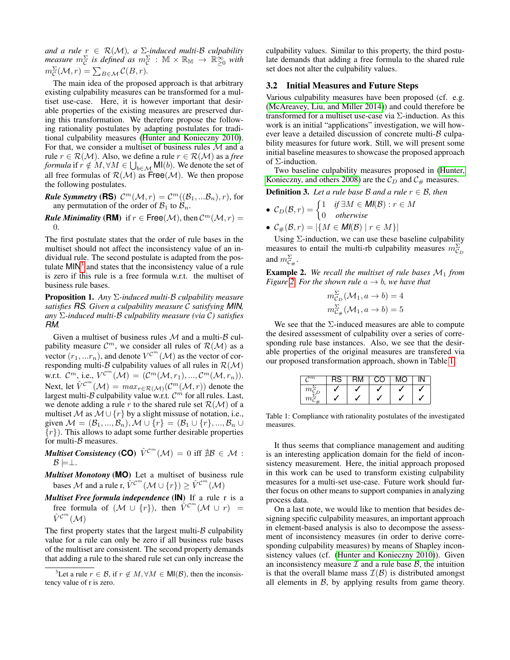*and a rule* r ∈ R(M)*, a* Σ*-induced multi-*B *culpability*  $\emph{measure}$   $m^{\Sigma}_{\mathcal{C}}$  is defined as  $m^{\Sigma}_{\mathcal{C}}$  :  $\mathbb{M}\times\mathbb{R}_{\mathbb{M}}\rightarrow\mathbb{R}^{\infty}_{\geq0}$  with  $m_{\mathcal{C}}^{\Sigma}(\mathcal{M}, r) = \sum_{B \in \mathcal{M}} C(B, r).$ 

The main idea of the proposed approach is that arbitrary existing culpability measures can be transformed for a multiset use-case. Here, it is however important that desirable properties of the existing measures are preserved during this transformation. We therefore propose the following rationality postulates by adapting postulates for traditional culpability measures [\(Hunter and Konieczny 2010\)](#page-4-8). For that, we consider a multiset of business rules  $M$  and a rule  $r \in \mathcal{R}(\mathcal{M})$ . Also, we define a rule  $r \in \mathcal{R}(\mathcal{M})$  as a *free formula* if  $r \notin M, \forall M \in \bigcup_{b \in \mathcal{M}} \mathsf{MI}(b).$  We denote the set of all free formulas of  $\mathcal{R}(\mathcal{M})$  as Free( $\mathcal{M}$ ). We then propose the following postulates.

**Rule Symmetry (RS)**  $\mathcal{C}^m(\mathcal{M}, r) = \mathcal{C}^m((\mathcal{B}_1, \ldots, \mathcal{B}_n), r)$ , for any permutation of the order of  $\mathcal{B}_1$  to  $\mathcal{B}_n$ .

*Rule Minimality* (*RM*) if  $r \in Free(\mathcal{M})$ , then  $\mathcal{C}^m(\mathcal{M}, r) =$  $\Omega$ 

The first postulate states that the order of rule bases in the multiset should not affect the inconsistency value of an individual rule. The second postulate is adapted from the postulate  $MIN<sup>3</sup>$  $MIN<sup>3</sup>$  $MIN<sup>3</sup>$  and states that the inconsistency value of a rule is zero if this rule is a free formula w.r.t. the multiset of business rule bases.

Proposition 1. *Any* Σ*-induced multi-*B *culpability measure satisfies RS. Given a culpability measure* C *satisfying MIN, any* Σ*-induced multi-*B *culpability measure (via* C*) satisfies RM.*

Given a multiset of business rules  $M$  and a multi- $B$  culpability measure  $\mathcal{C}^m$ , we consider all rules of  $\mathcal{R}(\mathcal{M})$  as a vector  $(r_1,...r_n)$ , and denote  $V^{C^m}(\mathcal{M})$  as the vector of corresponding multi- $\mathcal B$  culpability values of all rules in  $\mathcal R(\mathcal M)$ w.r.t.  $\mathcal{C}^m$ , i.e.,  $V^{\mathcal{C}^m}(\mathcal{M}) = (\mathcal{C}^m(\mathcal{M}, r_1), ..., \mathcal{C}^m(\mathcal{M}, r_n)).$ Next, let  $\hat{V}^{C^m}(\mathcal{M}) = max_{r \in \mathcal{R}(\mathcal{M})}(\mathcal{C}^m(\mathcal{M}, r))$  denote the largest multi- $\beta$  culpability value w.r.t.  $\mathcal{C}^m$  for all rules. Last, we denote adding a rule r to the shared rule set  $\mathcal{R}(\mathcal{M})$  of a multiset M as  $\overline{\mathcal{M}} \cup \{r\}$  by a slight missuse of notation, i.e., given  $M = (\mathcal{B}_1, ..., \mathcal{B}_n), M \cup \{r\} = (\mathcal{B}_1 \cup \{r\}, ..., \mathcal{B}_n \cup$  $\{r\}$ ). This allows to adapt some further desirable properties for multi- $\beta$  measures.

 $\boldsymbol{\mathit{Multiset Consistency}}\left(\boldsymbol{\mathsf{CO}}\right)\ \hat{V}^{\mathcal{C}^m}(\mathcal{M})\ =\ 0\ \text{iff}\ \nexists \mathcal{B}\ \in\ \mathcal{M}\ \colon$  $\mathcal{B} \models \perp$ .

*Multiset Monotony* (**MO**) Let a multiset of business rule bases M and a rule r,  $\hat{V}^{C^m}(\mathcal{M} \cup \{r\}) \geq \hat{V}^{C^m}(\mathcal{M})$ 

*Multiset Free formula independence* (**IN**) If a rule r is a free formula of  $(\mathcal{M} \cup \{r\})$ , then  $\hat{V}^{C^m}(\mathcal{M} \cup r) =$  $\hat{V}^{\mathcal{C}^m}(\mathcal{M})$ 

The first property states that the largest multi- $\beta$  culpability value for a rule can only be zero if all business rule bases of the multiset are consistent. The second property demands that adding a rule to the shared rule set can only increase the

culpability values. Similar to this property, the third postulate demands that adding a free formula to the shared rule set does not alter the culpability values.

#### 3.2 Initial Measures and Future Steps

Various culpability measures have been proposed (cf. e.g. [\(McAreavey, Liu, and Miller 2014\)](#page-4-9)) and could therefore be transformed for a multiset use-case via  $\Sigma$ -induction. As this work is an initial "applications" investigation, we will however leave a detailed discussion of concrete multi- $\beta$  culpability measures for future work. Still, we will present some initial baseline measures to showcase the proposed approach of Σ-induction.

Two baseline culpability measures proposed in [\(Hunter,](#page-4-10) [Konieczny, and others 2008\)](#page-4-10) are the  $\mathcal{C}_D$  and  $\mathcal{C}_{\#}$  measures.

**Definition 3.** Let a rule base  $\beta$  and a rule  $r \in \beta$ , then

• 
$$
C_D(\mathcal{B}, r) = \begin{cases} 1 & \text{if } \exists M \in \textit{MI}(\mathcal{B}) : r \in M \\ 0 & \text{otherwise} \end{cases}
$$

•  $C_{\#}(\mathcal{B}, r) = |\{M \in \mathit{MI}(\mathcal{B}) \mid r \in M\}|$ 

Using Σ-induction, we can use these baseline culpability measures to entail the multi-rb culpability measures  $m_{\mathcal{C}_D}^{\Sigma}$ and  $m_{\mathcal{C}_{\#}}^{\Sigma}$ .

**Example 2.** We recall the multiset of rule bases  $M_1$  from *Figure* [2.](#page-0-2) *For the shown rule*  $a \rightarrow b$ *, we have that* 

$$
m_{\mathcal{C}_D}^{\Sigma}(\mathcal{M}_1, a \to b) = 4
$$
  

$$
m_{\mathcal{C}_{\#}}^{\Sigma}(\mathcal{M}_1, a \to b) = 5
$$

We see that the  $\Sigma$ -induced measures are able to compute the desired assessment of culpability over a series of corresponding rule base instances. Also, we see that the desirable properties of the original measures are transfered via our proposed transformation approach, shown in Table [1.](#page-2-1)

<span id="page-2-1"></span>

| $\overline{\neg m}$ |  | C X 1 |  |
|---------------------|--|-------|--|
| $m_{\overline{C}}$  |  |       |  |
| m                   |  |       |  |

Table 1: Compliance with rationality postulates of the investigated measures.

It thus seems that compliance management and auditing is an interesting application domain for the field of inconsistency measurement. Here, the initial approach proposed in this work can be used to transform existing culpability measures for a multi-set use-case. Future work should further focus on other means to support companies in analyzing process data.

On a last note, we would like to mention that besides designing specific culpability measures, an important approach in element-based analysis is also to decompose the assessment of inconsistency measures (in order to derive corresponding culpability measures) by means of Shapley inconsistency values (cf. [\(Hunter and Konieczny 2010\)](#page-4-8)). Given an inconsistency measure  $\mathcal I$  and a rule base  $\mathcal B$ , the intuition is that the overall blame mass  $\mathcal{I}(\mathcal{B})$  is distributed amongst all elements in  $\mathcal{B}$ , by applying results from game theory.

<span id="page-2-0"></span><sup>&</sup>lt;sup>3</sup>Let a rule  $r \in \mathcal{B}$ , if  $r \notin M$ ,  $\forall M \in \mathsf{MI}(\mathcal{B})$ , then the inconsistency value of r is zero.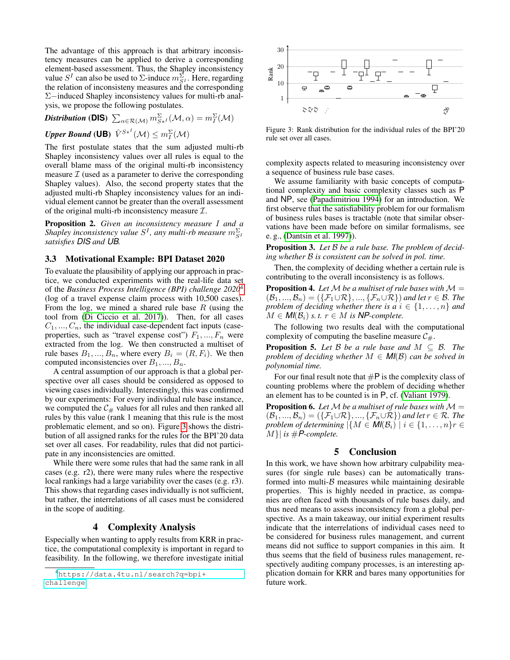The advantage of this approach is that arbitrary inconsistency measures can be applied to derive a corresponding element-based assessment. Thus, the Shapley inconsistency value  $S^I$  can also be used to  $\Sigma$ -induce  $m_{S^I}^{\Sigma}$ . Here, regarding the relation of inconsisteny measures and the corresponding Σ−induced Shapley inconsistency values for multi-rb analysis, we propose the following postulates.

*Distribution* (DIS)  $\sum_{\alpha \in \mathcal{R}(\mathcal{M})} m_{S \ast I}^{\Sigma}(\mathcal{M}, \alpha) = m_{I}^{\Sigma}(\mathcal{M})$ 

 $\bm{U}$ pper Bound ( $\bm{\mathsf{UB}}$ )  $\hat{V}^{S*}{}^{I}(\mathcal{M}) \leq m_{I}^{\Sigma}(\mathcal{M})$ 

The first postulate states that the sum adjusted multi-rb Shapley inconsistency values over all rules is equal to the overall blame mass of the original multi-rb inconsistency measure  $\mathcal I$  (used as a parameter to derive the corresponding Shapley values). Also, the second property states that the adjusted multi-rb Shapley inconsistency values for an individual element cannot be greater than the overall assessment of the original multi-rb inconsistency measure  $\mathcal{I}$ .

Proposition 2. *Given an inconsistency measure* I *and a Shapley inconsistency value*  $S<sup>I</sup>$ *, any multi-rb measure*  $m_{S<sup>I</sup>}^{\Sigma}$ *satsisfies DIS and UB.*

#### 3.3 Motivational Example: BPI Dataset 2020

To evaluate the plausibility of applying our approach in practice, we conducted experiments with the real-life data set of the *Business Process Intelligence (BPI) challenge 2020*[4](#page-3-0) (log of a travel expense claim process with 10,500 cases). From the log, we mined a shared rule base  $R$  (using the tool from [\(Di Ciccio et al. 2017\)](#page-4-2)). Then, for all cases  $C_1, ..., C_n$ , the individual case-dependent fact inputs (caseproperties, such as "travel expense cost")  $F_1, ..., F_n$  were extracted from the log. We then constructed a multiset of rule bases  $B_1, ..., B_n$ , where every  $B_i = (R, F_i)$ . We then computed inconsistencies over  $B_1, ..., B_n$ .

A central assumption of our approach is that a global perspective over all cases should be considered as opposed to viewing cases individually. Interestingly, this was confirmed by our experiments: For every individual rule base instance, we computed the  $C_{\#}$  values for all rules and then ranked all rules by this value (rank 1 meaning that this rule is the most problematic element, and so on). Figure [3](#page-3-1) shows the distribution of all assigned ranks for the rules for the BPI'20 data set over all cases. For readability, rules that did not participate in any inconsistencies are omitted.

While there were some rules that had the same rank in all cases (e.g. r2), there were many rules where the respective local rankings had a large variability over the cases (e.g. r3). This shows that regarding cases individually is not sufficient, but rather, the interrelations of all cases must be considered in the scope of auditing.

### 4 Complexity Analysis

Especially when wanting to apply results from KRR in practice, the computational complexity is important in regard to feasibility. In the following, we therefore investigate initial

<span id="page-3-1"></span>

Figure 3: Rank distribution for the individual rules of the BPI'20 rule set over all cases.

complexity aspects related to measuring inconsistency over a sequence of business rule base cases.

We assume familiarity with basic concepts of computational complexity and basic complexity classes such as P and NP, see [\(Papadimitriou 1994\)](#page-4-11) for an introduction. We first observe that the satisfiability problem for our formalism of business rules bases is tractable (note that similar observations have been made before on similar formalisms, see e. g., [\(Dantsin et al. 1997\)](#page-4-12)).

Proposition 3. *Let* B *be a rule base. The problem of deciding whether* B *is consistent can be solved in pol. time.*

Then, the complexity of deciding whether a certain rule is contributing to the overall inconsistency is as follows.

**Proposition 4.** Let  $M$  be a multiset of rule bases with  $M =$  $(\mathcal{B}_1, ..., \mathcal{B}_n) = (\{\mathcal{F}_1 \cup \mathcal{R}\}, ..., \{\mathcal{F}_n \cup \mathcal{R}\})$  *and let*  $r \in \mathcal{B}$ *. The problem of deciding whether there is a*  $i \in \{1, \ldots, n\}$  *and*  $M \in M(\mathcal{B}_i)$  *s. t.*  $r \in M$  *is NP-complete.* 

The following two results deal with the computational complexity of computing the baseline measure  $C_{\#}$ .

**Proposition 5.** Let  $\beta$  be a rule base and  $M \subseteq \beta$ . The *problem of deciding whether*  $M \in MI(B)$  *can be solved in polynomial time.*

For our final result note that  $\#P$  is the complexity class of counting problems where the problem of deciding whether an element has to be counted is in P, cf. [\(Valiant 1979\)](#page-4-13).

**Proposition 6.** Let M be a multiset of rule bases with  $M =$  $(\mathcal{B}_1, ..., \mathcal{B}_n) = (\{\mathcal{F}_1 \cup \mathcal{R}\}, ..., \{\mathcal{F}_n \cup \mathcal{R}\})$  *and let*  $r \in \mathcal{R}$ *. The problem of determining*  $|\{M \in \mathsf{MI}(\mathcal{B}_i) \mid i \in \{1, \ldots, n\}r \in$  $|M\rangle|$  *is* #*P*-complete.

### 5 Conclusion

In this work, we have shown how arbitrary culpability measures (for single rule bases) can be automatically transformed into multi- $\beta$  measures while maintaining desirable properties. This is highly needed in practice, as companies are often faced with thousands of rule bases daily, and thus need means to assess inconsistency from a global perspective. As a main takeaway, our initial experiment results indicate that the interrelations of individual cases need to be considered for business rules management, and current means did not suffice to support companies in this aim. It thus seems that the field of business rules management, respectively auditing company processes, is an interesting application domain for KRR and bares many opportunities for future work.

<span id="page-3-0"></span><sup>4</sup>[https://data.4tu.nl/search?q=bpi+](https://data.4tu.nl/search?q=bpi+challenge) [challenge](https://data.4tu.nl/search?q=bpi+challenge)